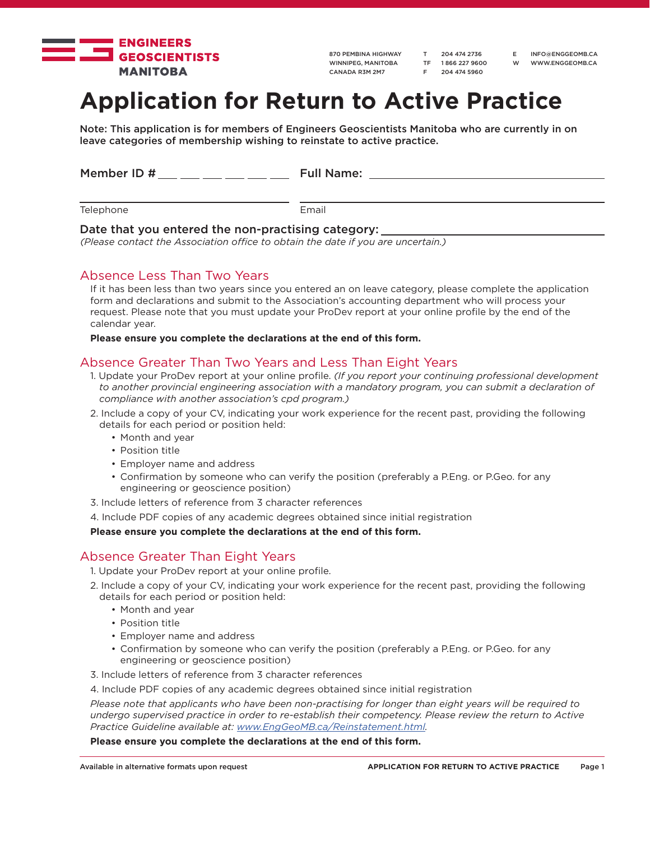

870 PEMBINA HIGHWAY WINNIPEG, MANITOBA CANADA R3M 2M7

T 204 474 2736 TF 1 866 227 9600 F 204 474 5960

E INFO@ENGGEOMB.CA W WWW.ENGGEOMB.CA

# **Application for Return to Active Practice**

Note: This application is for members of Engineers Geoscientists Manitoba who are currently in on leave categories of membership wishing to reinstate to active practice.

| Member ID # | <b>Full Name:</b> |
|-------------|-------------------|
|             |                   |
| Telephone   | Email             |

### Date that you entered the non-practising category:

*(Please contact the Association office to obtain the date if you are uncertain.)*

## Absence Less Than Two Years

If it has been less than two years since you entered an on leave category, please complete the application form and declarations and submit to the Association's accounting department who will process your request. Please note that you must update your ProDev report at your online profile by the end of the calendar year.

### **Please ensure you complete the declarations at the end of this form.**

## Absence Greater Than Two Years and Less Than Eight Years

- 1. Update your ProDev report at your online profile. *(If you report your continuing professional development to another provincial engineering association with a mandatory program, you can submit a declaration of compliance with another association's cpd program.)*
- 2. Include a copy of your CV, indicating your work experience for the recent past, providing the following details for each period or position held:
	- Month and year
	- Position title
	- Employer name and address
	- Confirmation by someone who can verify the position (preferably a P.Eng. or P.Geo. for any engineering or geoscience position)
- 3. Include letters of reference from 3 character references
- 4. Include PDF copies of any academic degrees obtained since initial registration

**Please ensure you complete the declarations at the end of this form.**

## Absence Greater Than Eight Years

- 1. Update your ProDev report at your online profile.
- 2. Include a copy of your CV, indicating your work experience for the recent past, providing the following details for each period or position held:
	- Month and year
	- Position title
	- Employer name and address
	- Confirmation by someone who can verify the position (preferably a P.Eng. or P.Geo. for any engineering or geoscience position)
- 3. Include letters of reference from 3 character references
- 4. Include PDF copies of any academic degrees obtained since initial registration

*Please note that applicants who have been non-practising for longer than eight years will be required to undergo supervised practice in order to re-establish their competency. Please review the return to Active Practice Guideline available at: www.EngGeoMB.ca/Reinstatement.html.* 

### **Please ensure you complete the declarations at the end of this form.**